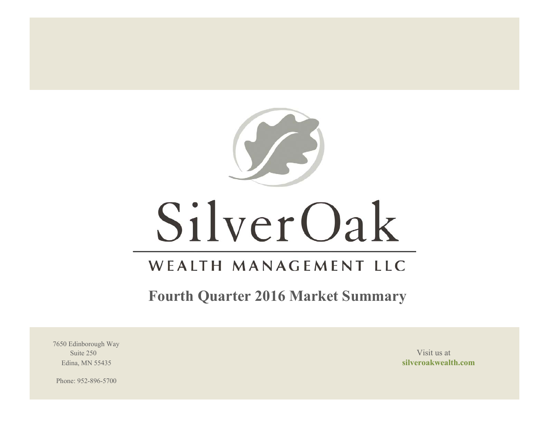

# SilverOak

# WEALTH MANAGEMENT LLC

**Fourth Quarter 2016 Market Summary**

7650 Edinborough Way Suite 250 Visit us at the set of the set of the set of the set of the set of the set of the set of the set of the set of the set of the set of the set of the set of the set of the set of the set of the set of the set of th

Edina, MN 55435 **silveroakwealth.com**

Phone: 952-896-5700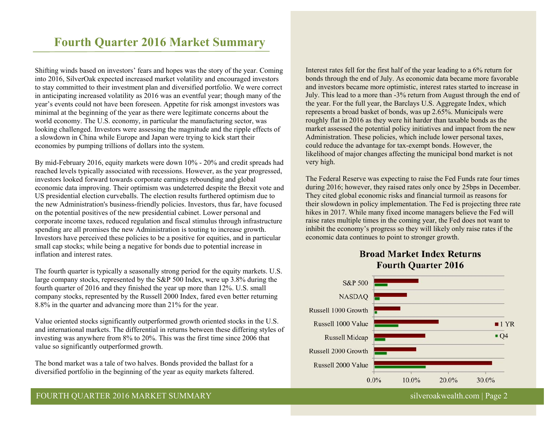# **Fourth Quarter 2016 Market Summary**

Shifting winds based on investors' fears and hopes was the story of the year. Coming into 2016, SilverOak expected increased market volatility and encouraged investors to stay committed to their investment plan and diversified portfolio. We were correct in anticipating increased volatility as 2016 was an eventful year; though many of the year's events could not have been foreseen. Appetite for risk amongst investors was minimal at the beginning of the year as there were legitimate concerns about the world economy. The U.S. economy, in particular the manufacturing sector, was looking challenged. Investors were assessing the magnitude and the ripple effects of a slowdown in China while Europe and Japan were trying to kick start their economies by pumping trillions of dollars into the system.

By mid-February 2016, equity markets were down 10% - 20% and credit spreads had reached levels typically associated with recessions. However, as the year progressed, investors looked forward towards corporate earnings rebounding and global economic data improving. Their optimism was undeterred despite the Brexit vote and US presidential election curveballs. The election results furthered optimism due to the new Administration's business-friendly policies. Investors, thus far, have focused on the potential positives of the new presidential cabinet. Lower personal and corporate income taxes, reduced regulation and fiscal stimulus through infrastructure spending are all promises the new Administration is touting to increase growth. Investors have perceived these policies to be a positive for equities, and in particular small cap stocks; while being a negative for bonds due to potential increase in inflation and interest rates.

The fourth quarter is typically a seasonally strong period for the equity markets. U.S. large company stocks, represented by the S&P 500 Index, were up 3.8% during the fourth quarter of 2016 and they finished the year up more than 12%. U.S. small company stocks, represented by the Russell 2000 Index, fared even better returning 8.8% in the quarter and advancing more than 21% for the year.

Value oriented stocks significantly outperformed growth oriented stocks in the U.S. and international markets. The differential in returns between these differing styles of investing was anywhere from 8% to 20%. This was the first time since 2006 that value so significantly outperformed growth.

The bond market was a tale of two halves. Bonds provided the ballast for a diversified portfolio in the beginning of the year as equity markets faltered. Interest rates fell for the first half of the year leading to a 6% return for bonds through the end of July. As economic data became more favorable and investors became more optimistic, interest rates started to increase in July. This lead to a more than -3% return from August through the end of the year. For the full year, the Barclays U.S. Aggregate Index, which represents a broad basket of bonds, was up 2.65%. Municipals were roughly flat in 2016 as they were hit harder than taxable bonds as the market assessed the potential policy initiatives and impact from the new Administration. These policies, which include lower personal taxes, could reduce the advantage for tax-exempt bonds. However, the likelihood of major changes affecting the municipal bond market is not very high.

The Federal Reserve was expecting to raise the Fed Funds rate four times during 2016; however, they raised rates only once by 25bps in December. They cited global economic risks and financial turmoil as reasons for their slowdown in policy implementation. The Fed is projecting three rate hikes in 2017. While many fixed income managers believe the Fed will raise rates multiple times in the coming year, the Fed does not want to inhibit the economy's progress so they will likely only raise rates if the economic data continues to point to stronger growth.

# **Broad Market Index Returns Fourth Quarter 2016**



# FOURTH QUARTER 2016 MARKET SUMMARY silveroakwealth.com | Page 2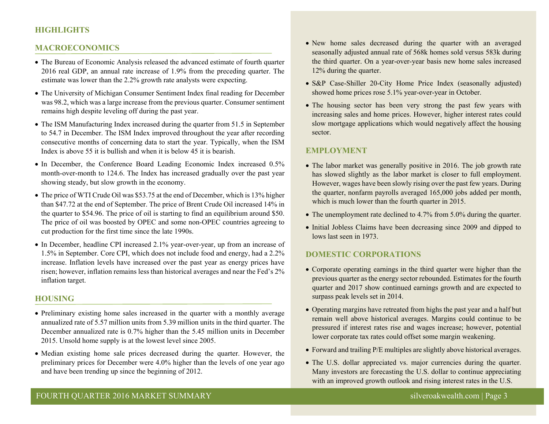# **HIGHLIGHTS**

#### **MACROECONOMICS**

- The Bureau of Economic Analysis released the advanced estimate of fourth quarter 2016 real GDP, an annual rate increase of 1.9% from the preceding quarter. The estimate was lower than the 2.2% growth rate analysts were expecting.
- The University of Michigan Consumer Sentiment Index final reading for December was 98.2, which was a large increase from the previous quarter. Consumer sentiment remains high despite leveling off during the past year.
- The ISM Manufacturing Index increased during the quarter from 51.5 in September to 54.7 in December. The ISM Index improved throughout the year after recording consecutive months of concerning data to start the year. Typically, when the ISM Index is above 55 it is bullish and when it is below 45 it is bearish.
- In December, the Conference Board Leading Economic Index increased 0.5% month-over-month to 124.6. The Index has increased gradually over the past year showing steady, but slow growth in the economy.
- The price of WTI Crude Oil was \$53.75 at the end of December, which is 13% higher than \$47.72 at the end of September. The price of Brent Crude Oil increased 14% in the quarter to \$54.96. The price of oil is starting to find an equilibrium around \$50. The price of oil was boosted by OPEC and some non-OPEC countries agreeing to cut production for the first time since the late 1990s.
- In December, headline CPI increased 2.1% year-over-year, up from an increase of 1.5% in September. Core CPI, which does not include food and energy, had a 2.2% increase. Inflation levels have increased over the past year as energy prices have risen; however, inflation remains less than historical averages and near the Fed's 2% inflation target.

#### **HOUSING**

- Preliminary existing home sales increased in the quarter with a monthly average annualized rate of 5.57 million units from 5.39 million units in the third quarter. The December annualized rate is 0.7% higher than the 5.45 million units in December 2015. Unsold home supply is at the lowest level since 2005.
- Median existing home sale prices decreased during the quarter. However, the preliminary prices for December were 4.0% higher than the levels of one year ago and have been trending up since the beginning of 2012.
- New home sales decreased during the quarter with an averaged seasonally adjusted annual rate of 568k homes sold versus 583k during the third quarter. On a year-over-year basis new home sales increased 12% during the quarter.
- S&P Case-Shiller 20-City Home Price Index (seasonally adjusted) showed home prices rose 5.1% year-over-year in October.
- The housing sector has been very strong the past few years with increasing sales and home prices. However, higher interest rates could slow mortgage applications which would negatively affect the housing sector.

#### **EMPLOYMENT**

- The labor market was generally positive in 2016. The job growth rate has slowed slightly as the labor market is closer to full employment. However, wages have been slowly rising over the past few years. During the quarter, nonfarm payrolls averaged 165,000 jobs added per month, which is much lower than the fourth quarter in 2015.
- The unemployment rate declined to 4.7% from 5.0% during the quarter.
- Initial Jobless Claims have been decreasing since 2009 and dipped to lows last seen in 1973.

#### **DOMESTIC CORPORATIONS**

- Corporate operating earnings in the third quarter were higher than the previous quarter as the energy sector rebounded. Estimates for the fourth quarter and 2017 show continued earnings growth and are expected to surpass peak levels set in 2014.
- Operating margins have retreated from highs the past year and a half but remain well above historical averages. Margins could continue to be pressured if interest rates rise and wages increase; however, potential lower corporate tax rates could offset some margin weakening.
- Forward and trailing P/E multiples are slightly above historical averages.
- The U.S. dollar appreciated vs. major currencies during the quarter. Many investors are forecasting the U.S. dollar to continue appreciating with an improved growth outlook and rising interest rates in the U.S.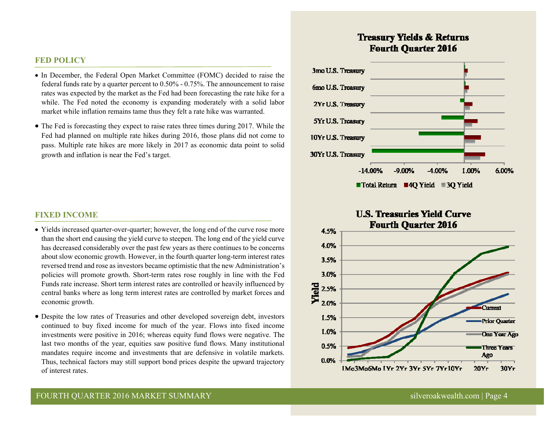#### **FED POLICY**

- In December, the Federal Open Market Committee (FOMC) decided to raise the federal funds rate by a quarter percent to 0.50% - 0.75%. The announcement to raise rates was expected by the market as the Fed had been forecasting the rate hike for a while. The Fed noted the economy is expanding moderately with a solid labor market while inflation remains tame thus they felt a rate hike was warranted.
- The Fed is forecasting they expect to raise rates three times during 2017. While the Fed had planned on multiple rate hikes during 2016, those plans did not come to pass. Multiple rate hikes are more likely in 2017 as economic data point to solid growth and inflation is near the Fed's target.

#### **FIXED INCOME**

- Yields increased quarter-over-quarter; however, the long end of the curve rose more than the short end causing the yield curve to steepen. The long end of the yield curve has decreased considerably over the past few years as there continues to be concerns about slow economic growth. However, in the fourth quarter long-term interest rates reversed trend and rose as investors became optimistic that the new Administration's policies will promote growth. Short-term rates rose roughly in line with the Fed Funds rate increase. Short term interest rates are controlled or heavily influenced by central banks where as long term interest rates are controlled by market forces and economic growth.
- Despite the low rates of Treasuries and other developed sovereign debt, investors continued to buy fixed income for much of the year. Flows into fixed income investments were positive in 2016; whereas equity fund flows were negative. The last two months of the year, equities saw positive fund flows. Many institutional mandates require income and investments that are defensive in volatile markets. Thus, technical factors may still support bond prices despite the upward trajectory of interest rates.

# **Treasury Yields & Returns Fourth Ouarter 2016**



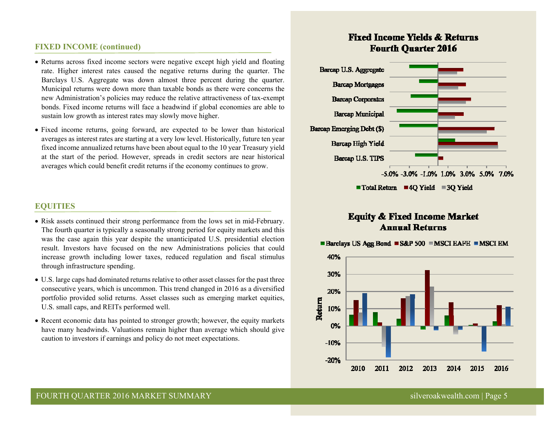#### **FIXED INCOME (continued)**

- Returns across fixed income sectors were negative except high yield and floating rate. Higher interest rates caused the negative returns during the quarter. The Barclays U.S. Aggregate was down almost three percent during the quarter. Municipal returns were down more than taxable bonds as there were concerns the new Administration's policies may reduce the relative attractiveness of tax-exempt bonds. Fixed income returns will face a headwind if global economies are able to sustain low growth as interest rates may slowly move higher.
- Fixed income returns, going forward, are expected to be lower than historical averages as interest rates are starting at a very low level. Historically, future ten year fixed income annualized returns have been about equal to the 10 year Treasury yield at the start of the period. However, spreads in credit sectors are near historical averages which could benefit credit returns if the economy continues to grow.

# **EQUITIES**

- Risk assets continued their strong performance from the lows set in mid-February. The fourth quarter is typically a seasonally strong period for equity markets and this was the case again this year despite the unanticipated U.S. presidential election result. Investors have focused on the new Administrations policies that could increase growth including lower taxes, reduced regulation and fiscal stimulus through infrastructure spending.
- U.S. large caps had dominated returns relative to other asset classes for the past three consecutive years, which is uncommon. This trend changed in 2016 as a diversified portfolio provided solid returns. Asset classes such as emerging market equities, U.S. small caps, and REITs performed well.
- Recent economic data has pointed to stronger growth; however, the equity markets have many headwinds. Valuations remain higher than average which should give caution to investors if earnings and policy do not meet expectations.

# **Fixed Income Yields & Returns Fourth Ouarter 2016**



# **Equity & Fixed Income Market Annual Returns**



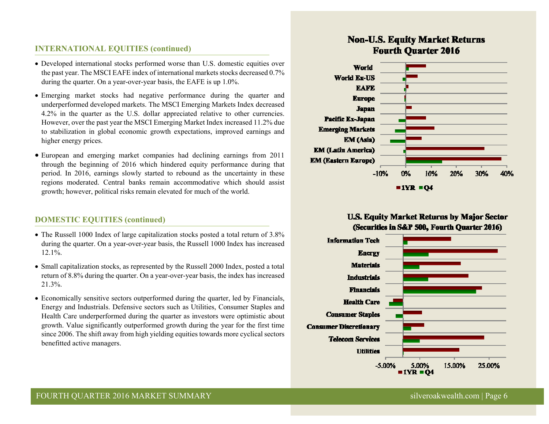# **INTERNATIONAL EQUITIES (continued)**

- Developed international stocks performed worse than U.S. domestic equities over the past year. The MSCI EAFE index of international markets stocks decreased 0.7% during the quarter. On a year-over-year basis, the EAFE is up 1.0%.
- Emerging market stocks had negative performance during the quarter and underperformed developed markets. The MSCI Emerging Markets Index decreased 4.2% in the quarter as the U.S. dollar appreciated relative to other currencies. However, over the past year the MSCI Emerging Market Index increased 11.2% due to stabilization in global economic growth expectations, improved earnings and higher energy prices.
- European and emerging market companies had declining earnings from 2011 through the beginning of 2016 which hindered equity performance during that period. In 2016, earnings slowly started to rebound as the uncertainty in these regions moderated. Central banks remain accommodative which should assist growth; however, political risks remain elevated for much of the world.

# **DOMESTIC EQUITIES (continued)**

- The Russell 1000 Index of large capitalization stocks posted a total return of 3.8% during the quarter. On a year-over-year basis, the Russell 1000 Index has increased 12.1%.
- Small capitalization stocks, as represented by the Russell 2000 Index, posted a total return of 8.8% during the quarter. On a year-over-year basis, the index has increased 21.3%.
- Economically sensitive sectors outperformed during the quarter, led by Financials, Energy and Industrials. Defensive sectors such as Utilities, Consumer Staples and Health Care underperformed during the quarter as investors were optimistic about growth. Value significantly outperformed growth during the year for the first time since 2006. The shift away from high yielding equities towards more cyclical sectors benefitted active managers.

# **Non-U.S. Equity Market Returns Fourth Ouarter 2016**



# **U.S. Equity Market Returns by Major Sector** (Securities in S&P 500, Fourth Quarter 2016)